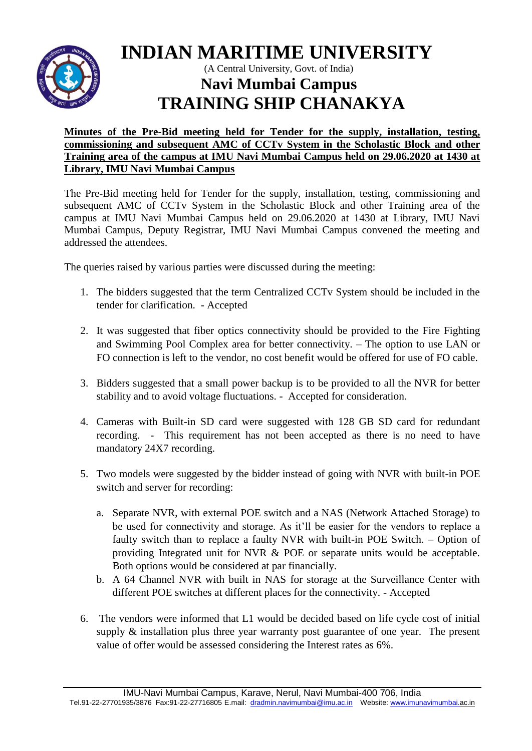

# **INDIAN MARITIME UNIVERSITY**

## (A Central University, Govt. of India) **Navi Mumbai Campus TRAINING SHIP CHANAKYA**

#### **Minutes of the Pre-Bid meeting held for Tender for the supply, installation, testing, commissioning and subsequent AMC of CCTv System in the Scholastic Block and other Training area of the campus at IMU Navi Mumbai Campus held on 29.06.2020 at 1430 at Library, IMU Navi Mumbai Campus**

The Pre-Bid meeting held for Tender for the supply, installation, testing, commissioning and subsequent AMC of CCTv System in the Scholastic Block and other Training area of the campus at IMU Navi Mumbai Campus held on 29.06.2020 at 1430 at Library, IMU Navi Mumbai Campus, Deputy Registrar, IMU Navi Mumbai Campus convened the meeting and addressed the attendees.

The queries raised by various parties were discussed during the meeting:

- 1. The bidders suggested that the term Centralized CCTv System should be included in the tender for clarification. - Accepted
- 2. It was suggested that fiber optics connectivity should be provided to the Fire Fighting and Swimming Pool Complex area for better connectivity. – The option to use LAN or FO connection is left to the vendor, no cost benefit would be offered for use of FO cable.
- 3. Bidders suggested that a small power backup is to be provided to all the NVR for better stability and to avoid voltage fluctuations. - Accepted for consideration.
- 4. Cameras with Built-in SD card were suggested with 128 GB SD card for redundant recording. - This requirement has not been accepted as there is no need to have mandatory 24X7 recording.
- 5. Two models were suggested by the bidder instead of going with NVR with built-in POE switch and server for recording:
	- a. Separate NVR, with external POE switch and a NAS (Network Attached Storage) to be used for connectivity and storage. As it'll be easier for the vendors to replace a faulty switch than to replace a faulty NVR with built-in POE Switch. – Option of providing Integrated unit for NVR & POE or separate units would be acceptable. Both options would be considered at par financially.
	- b. A 64 Channel NVR with built in NAS for storage at the Surveillance Center with different POE switches at different places for the connectivity. - Accepted
- 6. The vendors were informed that L1 would be decided based on life cycle cost of initial supply & installation plus three year warranty post guarantee of one year. The present value of offer would be assessed considering the Interest rates as 6%.